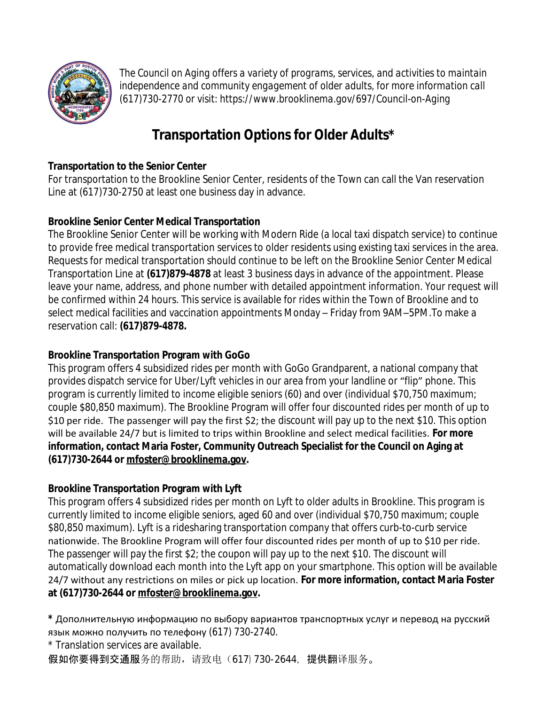

*The Council on Aging offers a variety of programs, services, and activities to maintain independence and community engagement of older adults, for more information call (617)730-2770 or visit: https://www.brooklinema.gov/697/Council-on-Aging*

# **Transportation Options for Older Adults\***

## **Transportation to the Senior Center**

For transportation to the Brookline Senior Center, residents of the Town can call the Van reservation Line at (617)730-2750 at least one business day in advance.

## **Brookline Senior Center Medical Transportation**

The Brookline Senior Center will be working with Modern Ride (a local taxi dispatch service) to continue to provide free medical transportation services to older residents using existing taxi services in the area. Requests for medical transportation should continue to be left on the Brookline Senior Center Medical Transportation Line at **(617)879-4878** at least 3 business days in advance of the appointment. Please leave your name, address, and phone number with detailed appointment information. Your request will be confirmed within 24 hours. This service is available for rides within the Town of Brookline and to select medical facilities and vaccination appointments Monday – Friday from 9AM–5PM.To make a reservation call: **(617)879-4878.**

## **Brookline Transportation Program with GoGo**

This program offers 4 subsidized rides per month with GoGo Grandparent, a national company that provides dispatch service for Uber/Lyft vehicles in our area from your landline or "flip" phone. This program is currently limited to income eligible seniors (60) and over (individual \$70,750 maximum; couple \$80,850 maximum). The Brookline Program will offer four discounted rides per month of up to \$10 per ride. The passenger will pay the first \$2; the discount will pay up to the next \$10. This option will be available 24/7 but is limited to trips within Brookline and select medical facilities. **For more information, contact Maria Foster, Community Outreach Specialist for the Council on Aging at (617)730-2644 or [mfoster@brooklinema.gov.](mailto:mfoster@brooklinema.gov)**

# **Brookline Transportation Program with Lyft**

This program offers 4 subsidized rides per month on Lyft to older adults in Brookline. This program is currently limited to income eligible seniors, aged 60 and over (individual \$70,750 maximum; couple \$80,850 maximum). Lyft is a ridesharing transportation company that offers curb-to-curb service nationwide. The Brookline Program will offer four discounted rides per month of up to \$10 per ride. The passenger will pay the first \$2; the coupon will pay up to the next \$10. The discount will automatically download each month into the Lyft app on your smartphone. This option will be available 24/7 without any restrictions on miles or pick up location. **For more information, contact Maria Foster at (617)730-2644 or [mfoster@brooklinema.gov](mailto:mfoster@brooklinema.gov).**

**\*** Дополнительную информацию по выбору вариантов транспортных услуг и перевод на русский язык можно получить по телефону (617) 730-2740.

\* Translation services are available.

假如你要得到交通服务的帮助,请致电(617)730-2644, 提供翻译服务。